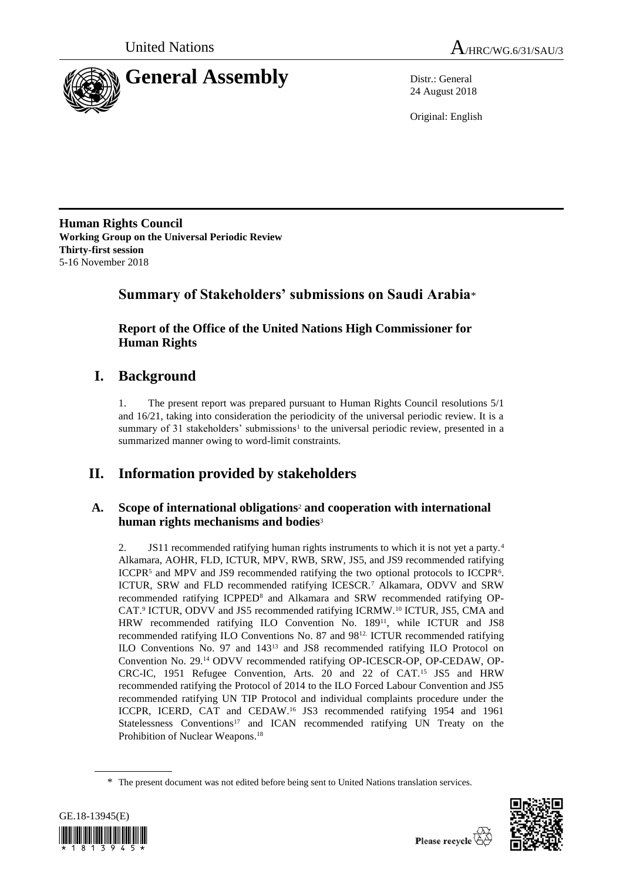

24 August 2018

Original: English

**Human Rights Council Working Group on the Universal Periodic Review Thirty-first session** 5-16 November 2018

## **Summary of Stakeholders' submissions on Saudi Arabia**\*

**Report of the Office of the United Nations High Commissioner for Human Rights**

# **I. Background**

1. The present report was prepared pursuant to Human Rights Council resolutions 5/1 and 16/21, taking into consideration the periodicity of the universal periodic review. It is a summary of 31 stakeholders' submissions<sup>1</sup> to the universal periodic review, presented in a summarized manner owing to word-limit constraints.

# **II. Information provided by stakeholders**

### **A. Scope of international obligations**<sup>2</sup> **and cooperation with international human rights mechanisms and bodies**<sup>3</sup>

2. JS11 recommended ratifying human rights instruments to which it is not yet a party.<sup>4</sup> Alkamara, AOHR, FLD, ICTUR, MPV, RWB, SRW, JS5, and JS9 recommended ratifying ICCPR<sup>5</sup> and MPV and JS9 recommended ratifying the two optional protocols to ICCPR<sup>6</sup>. ICTUR, SRW and FLD recommended ratifying ICESCR.<sup>7</sup> Alkamara, ODVV and SRW recommended ratifying ICPPED<sup>8</sup> and Alkamara and SRW recommended ratifying OP-CAT.<sup>9</sup> ICTUR, ODVV and JS5 recommended ratifying ICRMW.<sup>10</sup> ICTUR, JS5, CMA and HRW recommended ratifying ILO Convention No. 189<sup>11</sup>, while ICTUR and JS8 recommended ratifying ILO Conventions No. 87 and 98<sup>12.</sup> ICTUR recommended ratifying ILO Conventions No. 97 and 143<sup>13</sup> and JS8 recommended ratifying ILO Protocol on Convention No. 29.<sup>14</sup> ODVV recommended ratifying OP-ICESCR-OP, OP-CEDAW, OP-CRC-IC, 1951 Refugee Convention, Arts. 20 and 22 of CAT.<sup>15</sup> JS5 and HRW recommended ratifying the Protocol of 2014 to the ILO Forced Labour Convention and JS5 recommended ratifying UN TIP Protocol and individual complaints procedure under the ICCPR, ICERD, CAT and CEDAW.<sup>16</sup> JS3 recommended ratifying 1954 and 1961 Statelessness Conventions<sup>17</sup> and ICAN recommended ratifying UN Treaty on the Prohibition of Nuclear Weapons. 18

<sup>\*</sup> The present document was not edited before being sent to United Nations translation services.



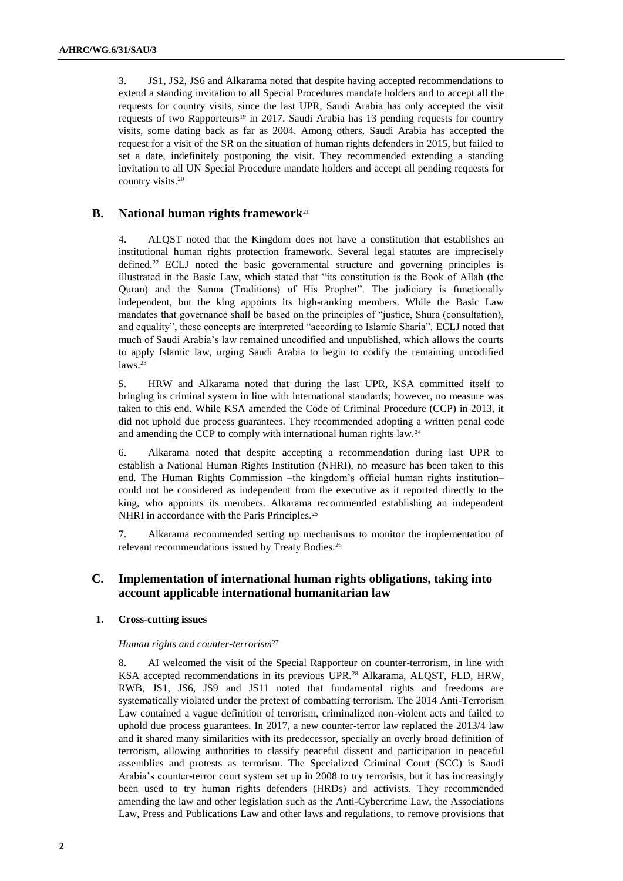3. JS1, JS2, JS6 and Alkarama noted that despite having accepted recommendations to extend a standing invitation to all Special Procedures mandate holders and to accept all the requests for country visits, since the last UPR, Saudi Arabia has only accepted the visit requests of two Rapporteurs<sup>19</sup> in 2017. Saudi Arabia has 13 pending requests for country visits, some dating back as far as 2004. Among others, Saudi Arabia has accepted the request for a visit of the SR on the situation of human rights defenders in 2015, but failed to set a date, indefinitely postponing the visit. They recommended extending a standing invitation to all UN Special Procedure mandate holders and accept all pending requests for country visits.<sup>20</sup>

### **B. National human rights framework**<sup>21</sup>

4. ALQST noted that the Kingdom does not have a constitution that establishes an institutional human rights protection framework. Several legal statutes are imprecisely defined.<sup>22</sup> ECLJ noted the basic governmental structure and governing principles is illustrated in the Basic Law, which stated that "its constitution is the Book of Allah (the Quran) and the Sunna (Traditions) of His Prophet". The judiciary is functionally independent, but the king appoints its high-ranking members. While the Basic Law mandates that governance shall be based on the principles of "justice, Shura (consultation), and equality", these concepts are interpreted "according to Islamic Sharia". ECLJ noted that much of Saudi Arabia's law remained uncodified and unpublished, which allows the courts to apply Islamic law, urging Saudi Arabia to begin to codify the remaining uncodified  $laws.<sup>23</sup>$ 

5. HRW and Alkarama noted that during the last UPR, KSA committed itself to bringing its criminal system in line with international standards; however, no measure was taken to this end. While KSA amended the Code of Criminal Procedure (CCP) in 2013, it did not uphold due process guarantees. They recommended adopting a written penal code and amending the CCP to comply with international human rights law.<sup>24</sup>

6. Alkarama noted that despite accepting a recommendation during last UPR to establish a National Human Rights Institution (NHRI), no measure has been taken to this end. The Human Rights Commission –the kingdom's official human rights institution– could not be considered as independent from the executive as it reported directly to the king, who appoints its members. Alkarama recommended establishing an independent NHRI in accordance with the Paris Principles.<sup>25</sup>

7. Alkarama recommended setting up mechanisms to monitor the implementation of relevant recommendations issued by Treaty Bodies.<sup>26</sup>

### **C. Implementation of international human rights obligations, taking into account applicable international humanitarian law**

#### **1. Cross-cutting issues**

#### *Human rights and counter-terrorism*<sup>27</sup>

8. AI welcomed the visit of the Special Rapporteur on counter-terrorism, in line with KSA accepted recommendations in its previous UPR.<sup>28</sup> Alkarama, ALQST, FLD, HRW, RWB, JS1, JS6, JS9 and JS11 noted that fundamental rights and freedoms are systematically violated under the pretext of combatting terrorism. The 2014 Anti-Terrorism Law contained a vague definition of terrorism, criminalized non-violent acts and failed to uphold due process guarantees. In 2017, a new counter-terror law replaced the 2013/4 law and it shared many similarities with its predecessor, specially an overly broad definition of terrorism, allowing authorities to classify peaceful dissent and participation in peaceful assemblies and protests as terrorism. The Specialized Criminal Court (SCC) is Saudi Arabia's counter-terror court system set up in 2008 to try terrorists, but it has increasingly been used to try human rights defenders (HRDs) and activists. They recommended amending the law and other legislation such as the [Anti-Cybercrime Law,](http://www.citc.gov.sa/English/RulesandSystems/CITCSyste/Documents/LA_004_%20E_%20Anti-Cyber%20Crime%20Law.pdf) the Associations Law, Press and Publications Law and other laws and regulations, to remove provisions that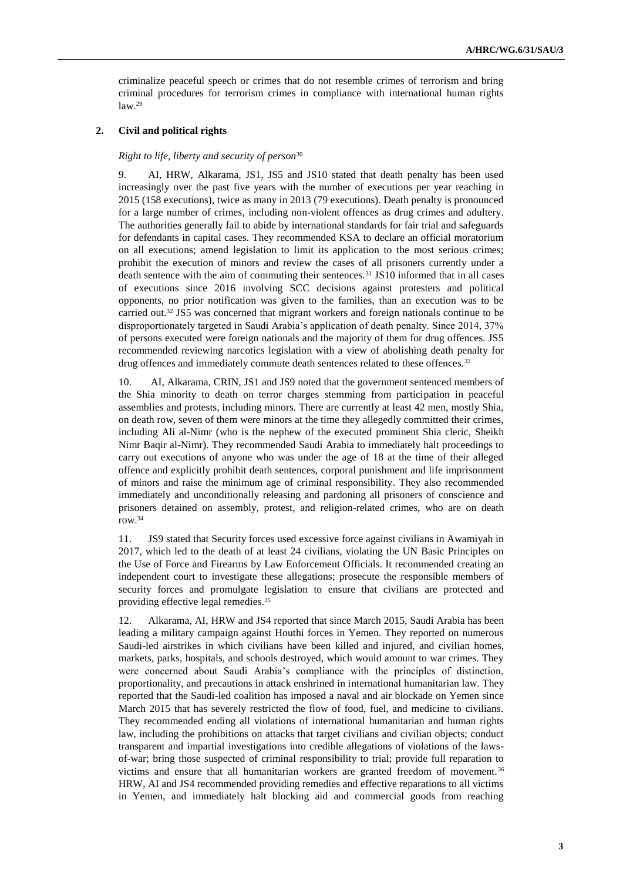criminalize peaceful speech or crimes that do not resemble crimes of terrorism and bring criminal procedures for terrorism crimes in compliance with international human rights  $law.<sup>29</sup>$ 

#### **2. Civil and political rights**

#### *Right to life, liberty and security of person*<sup>30</sup>

9. AI, HRW, Alkarama, JS1, JS5 and JS10 stated that death penalty has been used increasingly over the past five years with the number of executions per year reaching in 2015 (158 executions), twice as many in 2013 (79 executions). Death penalty is pronounced for a large number of crimes, including non-violent offences as drug crimes and adultery. The authorities generally fail to abide by international standards for fair trial and safeguards for defendants in capital cases. They recommended KSA to declare an official moratorium on all executions; amend legislation to limit its application to the most serious crimes; prohibit the execution of minors and review the cases of all prisoners currently under a death sentence with the aim of commuting their sentences.<sup>31</sup> JS10 informed that in all cases of executions since 2016 involving SCC decisions against protesters and political opponents, no prior notification was given to the families, than an execution was to be carried out.<sup>32</sup> JS5 was concerned that migrant workers and foreign nationals continue to be disproportionately targeted in Saudi Arabia's application of death penalty. Since 2014, 37% of persons executed were foreign nationals and the majority of them for drug offences. JS5 recommended reviewing narcotics legislation with a view of abolishing death penalty for drug offences and immediately commute death sentences related to these offences.<sup>33</sup>

10. AI, Alkarama, CRIN, JS1 and JS9 noted that the government sentenced members of the Shia minority to death on terror charges stemming from participation in peaceful assemblies and protests, including minors. There are currently at least 42 men, mostly Shia, on death row, seven of them were minors at the time they allegedly committed their crimes, including Ali al-Nimr (who is the nephew of the executed prominent Shia cleric, Sheikh Nimr Baqir al-Nimr). They recommended Saudi Arabia to immediately halt proceedings to carry out executions of anyone who was under the age of 18 at the time of their alleged offence and explicitly prohibit death sentences, corporal punishment and life imprisonment of minors and raise the minimum age of criminal responsibility. They also recommended immediately and unconditionally releasing and pardoning all prisoners of conscience and prisoners detained on assembly, protest, and religion-related crimes, who are on death row.<sup>34</sup>

11. JS9 stated that Security forces used excessive force against civilians in Awamiyah in 2017, which led to the death of at least 24 civilians, violating the UN Basic Principles on the Use of Force and Firearms by Law Enforcement Officials. It recommended creating an independent court to investigate these allegations; prosecute the responsible members of security forces and promulgate legislation to ensure that civilians are protected and providing effective legal remedies.<sup>35</sup>

12. Alkarama, AI, HRW and JS4 reported that since March 2015, Saudi Arabia has been leading a military campaign against Houthi forces in Yemen. They reported on numerous Saudi-led airstrikes in which civilians have been killed and injured, and civilian homes, markets, parks, hospitals, and schools destroyed, which would amount to war crimes. They were concerned about Saudi Arabia's compliance with the principles of distinction, proportionality, and precautions in attack enshrined in international humanitarian law. They reported that the Saudi-led coalition has imposed a naval and air blockade on Yemen since March 2015 that has severely restricted the flow of food, fuel, and medicine to civilians. They recommended ending all violations of international humanitarian and human rights law, including the prohibitions on attacks that target civilians and civilian objects; conduct transparent and impartial investigations into credible allegations of violations of the lawsof-war; bring those suspected of criminal responsibility to trial; provide full reparation to victims and ensure that all humanitarian workers are granted freedom of movement.<sup>36</sup> HRW, AI and JS4 recommended providing remedies and effective reparations to all victims in Yemen, and immediately halt blocking aid and commercial goods from reaching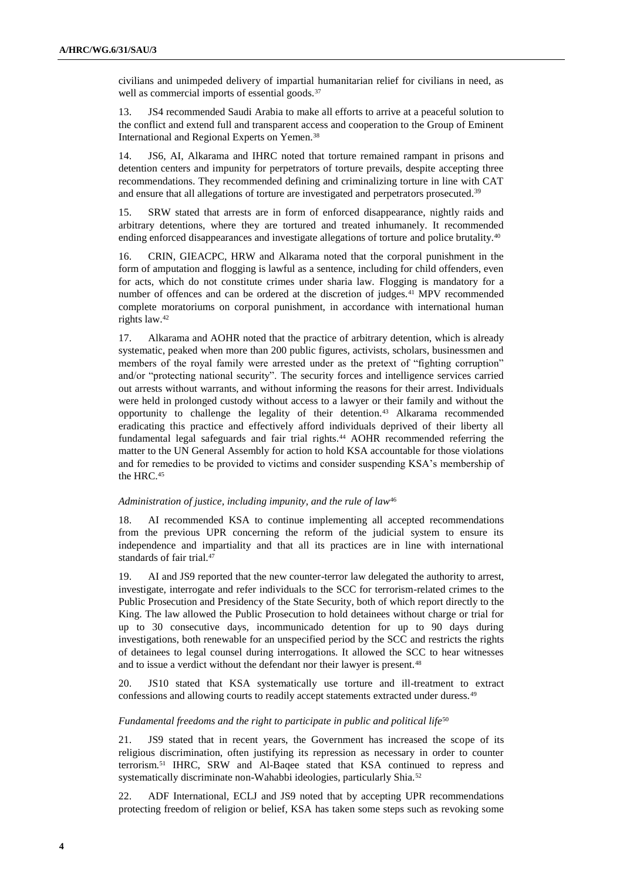civilians and unimpeded delivery of impartial humanitarian relief for civilians in need, as well as commercial imports of essential goods.<sup>37</sup>

13. JS4 recommended Saudi Arabia to make all efforts to arrive at a peaceful solution to the conflict and extend full and transparent access and cooperation to the Group of Eminent International and Regional Experts on Yemen.<sup>38</sup>

14. JS6, AI, Alkarama and IHRC noted that torture remained rampant in prisons and detention centers and impunity for perpetrators of torture prevails, despite accepting three recommendations. They recommended defining and criminalizing torture in line with CAT and ensure that all allegations of torture are investigated and perpetrators prosecuted.<sup>39</sup>

15. SRW stated that arrests are in form of enforced disappearance, nightly raids and arbitrary detentions, where they are tortured and treated inhumanely. It recommended ending enforced disappearances and investigate allegations of torture and police brutality.<sup>40</sup>

16. CRIN, GIEACPC, HRW and Alkarama noted that the corporal punishment in the form of amputation and flogging is lawful as a sentence, including for child offenders, even for acts, which do not constitute crimes under sharia law. Flogging is mandatory for a number of offences and can be ordered at the discretion of judges.<sup>41</sup> MPV recommended complete moratoriums on corporal punishment, in accordance with international human rights law.<sup>42</sup>

17. Alkarama and AOHR noted that the practice of arbitrary detention, which is already systematic, peaked when more than 200 public figures, activists, scholars, businessmen and members of the royal family were arrested under as the pretext of "fighting corruption" and/or "protecting national security". The security forces and intelligence services carried out arrests without warrants, and without informing the reasons for their arrest. Individuals were held in prolonged custody without access to a lawyer or their family and without the opportunity to challenge the legality of their detention.<sup>43</sup> Alkarama recommended eradicating this practice and effectively afford individuals deprived of their liberty all fundamental legal safeguards and fair trial rights.<sup>44</sup> AOHR recommended referring the matter to the UN General Assembly for action to hold KSA accountable for those violations and for remedies to be provided to victims and consider suspending KSA's membership of the HRC.<sup>45</sup>

#### Administration of justice, including impunity, and the rule of law<sup>46</sup>

18. AI recommended KSA to continue implementing all accepted recommendations from the previous UPR concerning the reform of the judicial system to ensure its independence and impartiality and that all its practices are in line with international standards of fair trial.<sup>47</sup>

19. AI and JS9 reported that the new counter-terror law delegated the authority to arrest, investigate, interrogate and refer individuals to the SCC for terrorism-related crimes to the Public Prosecution and Presidency of the State Security, both of which report directly to the King. The law allowed the Public Prosecution to hold detainees without charge or trial for up to 30 consecutive days, incommunicado detention for up to 90 days during investigations, both renewable for an unspecified period by the SCC and restricts the rights of detainees to legal counsel during interrogations. It allowed the SCC to hear witnesses and to issue a verdict without the defendant nor their lawyer is present.<sup>48</sup>

20. JS10 stated that KSA systematically use torture and ill-treatment to extract confessions and allowing courts to readily accept statements extracted under duress.<sup>49</sup>

#### Fundamental freedoms and the right to participate in public and political life<sup>50</sup>

21. JS9 stated that in recent years, the Government has increased the scope of its religious discrimination, often justifying its repression as necessary in order to counter terrorism.<sup>51</sup> IHRC, SRW and Al-Baqee stated that KSA continued to repress and systematically discriminate non-Wahabbi ideologies, particularly Shia.<sup>52</sup>

22. ADF International, ECLJ and JS9 noted that by accepting UPR recommendations protecting freedom of religion or belief, KSA has taken some steps such as revoking some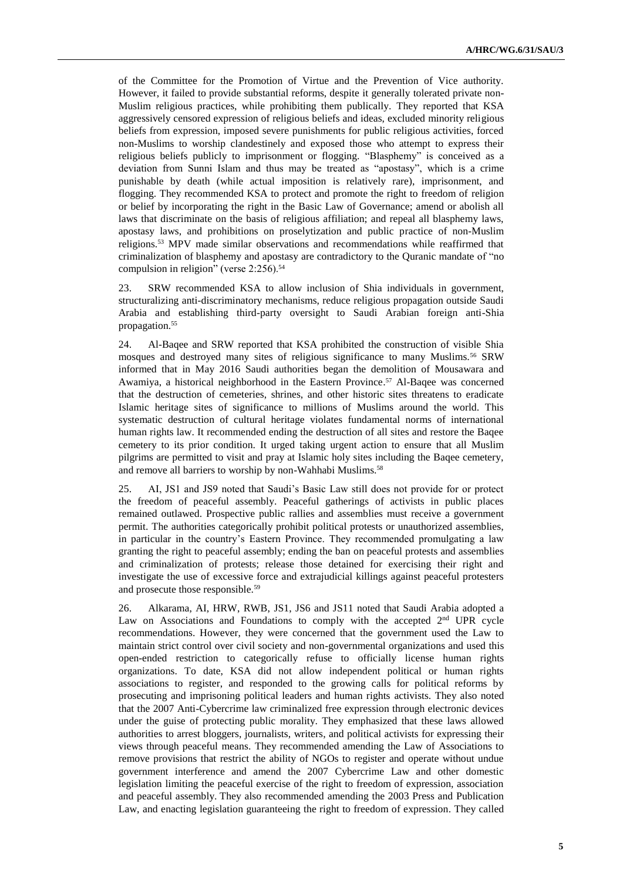of the Committee for the Promotion of Virtue and the Prevention of Vice authority. However, it failed to provide substantial reforms, despite it generally tolerated private non-Muslim religious practices, while prohibiting them publically. They reported that KSA aggressively censored expression of religious beliefs and ideas, excluded minority religious beliefs from expression, imposed severe punishments for public religious activities, forced non-Muslims to worship clandestinely and exposed those who attempt to express their religious beliefs publicly to imprisonment or flogging. "Blasphemy" is conceived as a deviation from Sunni Islam and thus may be treated as "apostasy", which is a crime punishable by death (while actual imposition is relatively rare), imprisonment, and flogging. They recommended KSA to protect and promote the right to freedom of religion or belief by incorporating the right in the Basic Law of Governance; amend or abolish all laws that discriminate on the basis of religious affiliation; and repeal all blasphemy laws, apostasy laws, and prohibitions on proselytization and public practice of non-Muslim religions.<sup>53</sup> MPV made similar observations and recommendations while reaffirmed that criminalization of blasphemy and apostasy are contradictory to the Quranic mandate of "no compulsion in religion" (verse 2:256).<sup>54</sup>

23. SRW recommended KSA to allow inclusion of Shia individuals in government, structuralizing anti-discriminatory mechanisms, reduce religious propagation outside Saudi Arabia and establishing third-party oversight to Saudi Arabian foreign anti-Shia propagation.<sup>55</sup>

24. Al-Baqee and SRW reported that KSA prohibited the construction of visible Shia mosques and destroyed many sites of religious significance to many Muslims.<sup>56</sup> SRW informed that in May 2016 Saudi authorities began the demolition of Mousawara and Awamiya, a historical neighborhood in the Eastern Province. <sup>57</sup> Al-Baqee was concerned that the destruction of cemeteries, shrines, and other historic sites threatens to eradicate Islamic heritage sites of significance to millions of Muslims around the world. This systematic destruction of cultural heritage violates fundamental norms of international human rights law. It recommended ending the destruction of all sites and restore the Baqee cemetery to its prior condition. It urged taking urgent action to ensure that all Muslim pilgrims are permitted to visit and pray at Islamic holy sites including the Baqee cemetery, and remove all barriers to worship by non-Wahhabi Muslims.<sup>58</sup>

25. AI, JS1 and JS9 noted that Saudi's Basic Law still does not provide for or protect the freedom of peaceful assembly. Peaceful gatherings of activists in public places remained outlawed. Prospective public rallies and assemblies must receive a government permit. The authorities categorically prohibit political protests or unauthorized assemblies, in particular in the country's Eastern Province. They recommended promulgating a law granting the right to peaceful assembly; ending the ban on peaceful protests and assemblies and criminalization of protests; release those detained for exercising their right and investigate the use of excessive force and extrajudicial killings against peaceful protesters and prosecute those responsible.<sup>59</sup>

26. Alkarama, AI, HRW, RWB, JS1, JS6 and JS11 noted that Saudi Arabia adopted a Law on Associations and Foundations to comply with the accepted 2<sup>nd</sup> UPR cycle recommendations. However, they were concerned that the government used the Law to maintain strict control over civil society and non-governmental organizations and used this open-ended restriction to categorically refuse to officially license human rights organizations. To date, KSA did not allow independent political or human rights associations to register, and responded to the growing calls for political reforms by prosecuting and imprisoning political leaders and human rights activists. They also noted that the 2007 Anti-Cybercrime law criminalized free expression through electronic devices under the guise of protecting public morality. They emphasized that these laws allowed authorities to arrest bloggers, journalists, writers, and political activists for expressing their views through peaceful means. They recommended amending the Law of Associations to remove provisions that restrict the ability of NGOs to register and operate without undue government interference and amend the 2007 Cybercrime Law and other domestic legislation limiting the peaceful exercise of the right to freedom of expression, association and peaceful assembly. They also recommended amending the 2003 Press and Publication Law, and enacting legislation guaranteeing the right to freedom of expression. They called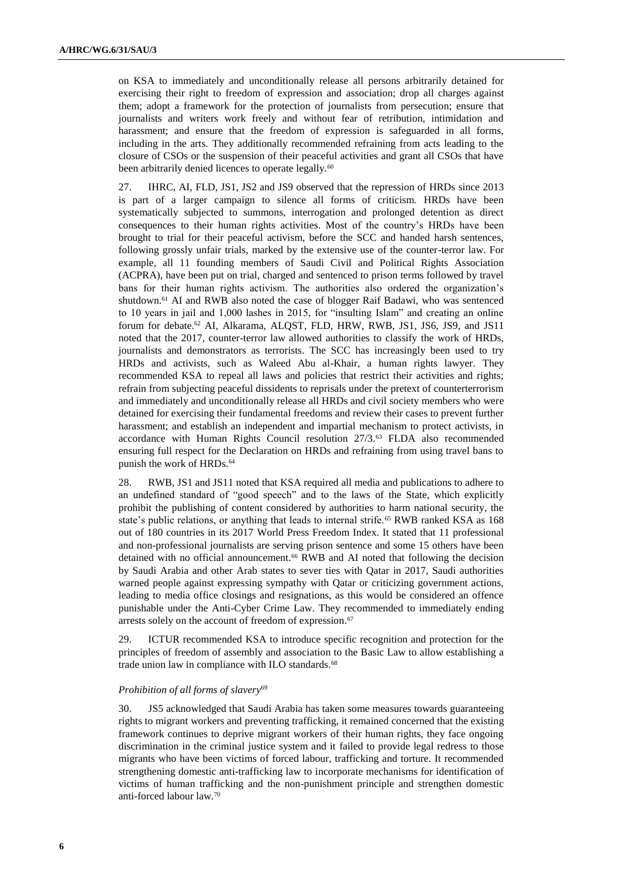on KSA to immediately and unconditionally release all persons arbitrarily detained for exercising their right to freedom of expression and association; drop all charges against them; adopt a framework for the protection of journalists from persecution; ensure that journalists and writers work freely and without fear of retribution, intimidation and harassment; and ensure that the freedom of expression is safeguarded in all forms, including in the arts. They additionally recommended refraining from acts leading to the closure of CSOs or the suspension of their peaceful activities and grant all CSOs that have been arbitrarily denied licences to operate legally.<sup>60</sup>

27. IHRC, AI, FLD, JS1, JS2 and JS9 observed that the repression of HRDs since 2013 is part of a larger campaign to silence all forms of criticism. HRDs have been systematically subjected to summons, interrogation and prolonged detention as direct consequences to their human rights activities. Most of the country's HRDs have been brought to trial for their peaceful activism, before the SCC and handed harsh sentences, following grossly unfair trials, marked by the extensive use of the counter-terror law. For example, all 11 founding members of Saudi Civil and Political Rights Association (ACPRA), have been put on trial, charged and sentenced to prison terms followed by travel bans for their human rights activism. The authorities also ordered the organization's shutdown.<sup>61</sup> AI and RWB also noted the case of blogger Raif Badawi, who was sentenced to 10 years in jail and 1,000 lashes in 2015, for "insulting Islam" and creating an online forum for debate.<sup>62</sup> AI, Alkarama, ALQST, FLD, HRW, RWB, JS1, JS6, JS9, and JS11 noted that the 2017, counter-terror law allowed authorities to classify the work of HRDs, journalists and demonstrators as terrorists. The SCC has increasingly been used to try HRDs and activists, such as Waleed Abu al-Khair, a human rights lawyer. They recommended KSA to repeal all laws and policies that restrict their activities and rights; refrain from subjecting peaceful dissidents to reprisals under the pretext of counterterrorism and immediately and unconditionally release all HRDs and civil society members who were detained for exercising their fundamental freedoms and review their cases to prevent further harassment; and establish an independent and impartial mechanism to protect activists, in accordance with Human Rights Council resolution 27/3.<sup>63</sup> FLDA also recommended ensuring full respect for the Declaration on HRDs and refraining from using travel bans to punish the work of HRDs.<sup>64</sup>

28. RWB, JS1 and JS11 noted that KSA required all media and publications to adhere to an undefined standard of "good speech" and to the laws of the State, which explicitly prohibit the publishing of content considered by authorities to harm national security, the state's public relations, or anything that leads to internal strife.<sup>65</sup> RWB ranked KSA as 168 out of 180 countries in its 2017 World Press Freedom Index. It stated that 11 professional and non-professional journalists are serving prison sentence and some 15 others have been detained with no official announcement.<sup>66</sup> RWB and AI noted that following the decision by Saudi Arabia and other Arab states to sever ties with Qatar in 2017, Saudi authorities warned people against expressing sympathy with Qatar or criticizing government actions, leading to media office closings and resignations, as this would be considered an offence punishable under the Anti-Cyber Crime Law. They recommended to immediately ending arrests solely on the account of freedom of expression. 67

29. ICTUR recommended KSA to introduce specific recognition and protection for the principles of freedom of assembly and association to the Basic Law to allow establishing a trade union law in compliance with ILO standards.<sup>68</sup>

#### *Prohibition of all forms of slavery*<sup>69</sup>

30. JS5 acknowledged that Saudi Arabia has taken some measures towards guaranteeing rights to migrant workers and preventing trafficking, it remained concerned that the existing framework continues to deprive migrant workers of their human rights, they face ongoing discrimination in the criminal justice system and it failed to provide legal redress to those migrants who have been victims of forced labour, trafficking and torture. It recommended strengthening domestic anti-trafficking law to incorporate mechanisms for identification of victims of human trafficking and the non-punishment principle and strengthen domestic anti-forced labour law.70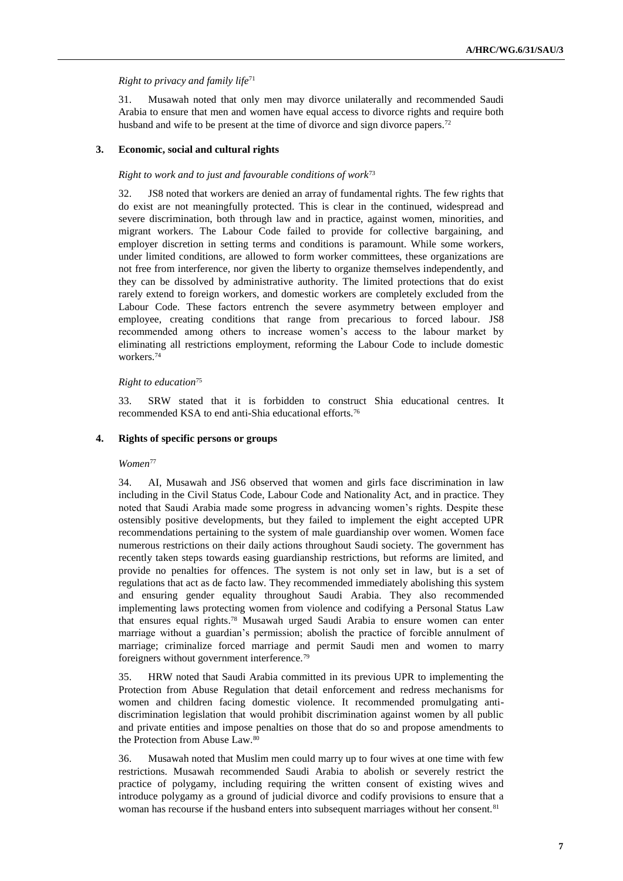#### *Right to privacy and family life*<sup>71</sup>

31. Musawah noted that only men may divorce unilaterally and recommended Saudi Arabia to ensure that men and women have equal access to divorce rights and require both husband and wife to be present at the time of divorce and sign divorce papers.<sup>72</sup>

#### **3. Economic, social and cultural rights**

#### *Right to work and to just and favourable conditions of work*<sup>73</sup>

32. JS8 noted that workers are denied an array of fundamental rights. The few rights that do exist are not meaningfully protected. This is clear in the continued, widespread and severe discrimination, both through law and in practice, against women, minorities, and migrant workers. The Labour Code failed to provide for collective bargaining, and employer discretion in setting terms and conditions is paramount. While some workers, under limited conditions, are allowed to form worker committees, these organizations are not free from interference, nor given the liberty to organize themselves independently, and they can be dissolved by administrative authority. The limited protections that do exist rarely extend to foreign workers, and domestic workers are completely excluded from the Labour Code. These factors entrench the severe asymmetry between employer and employee, creating conditions that range from precarious to forced labour. JS8 recommended among others to increase women's access to the labour market by eliminating all restrictions employment, reforming the Labour Code to include domestic workers.<sup>74</sup>

#### *Right to education*<sup>75</sup>

33. SRW stated that it is forbidden to construct Shia educational centres. It recommended KSA to end anti-Shia educational efforts.<sup>76</sup>

#### **4. Rights of specific persons or groups**

#### *Women*<sup>77</sup>

34. AI, Musawah and JS6 observed that women and girls face discrimination in law including in the Civil Status Code, Labour Code and Nationality Act, and in practice. They noted that Saudi Arabia made some progress in advancing women's rights. Despite these ostensibly positive developments, but they failed to implement the eight accepted UPR recommendations pertaining to the system of male guardianship over women. Women face numerous restrictions on their daily actions throughout Saudi society. The government has recently taken steps towards easing guardianship restrictions, but reforms are limited, and provide no penalties for offences. The system is not only set in law, but is a set of regulations that act as de facto law. They recommended immediately abolishing this system and ensuring gender equality throughout Saudi Arabia. They also recommended implementing laws protecting women from violence and codifying a Personal Status Law that ensures equal rights. <sup>78</sup> Musawah urged Saudi Arabia to ensure women can enter marriage without a guardian's permission; abolish the practice of forcible annulment of marriage; criminalize forced marriage and permit Saudi men and women to marry foreigners without government interference.<sup>79</sup>

35. HRW noted that Saudi Arabia committed in its previous UPR to implementing the Protection from Abuse Regulation that detail enforcement and redress mechanisms for women and children facing domestic violence. It recommended promulgating antidiscrimination legislation that would prohibit discrimination against women by all public and private entities and impose penalties on those that do so and propose amendments to the Protection from Abuse Law.<sup>80</sup>

36. Musawah noted that Muslim men could marry up to four wives at one time with few restrictions. Musawah recommended Saudi Arabia to abolish or severely restrict the practice of polygamy, including requiring the written consent of existing wives and introduce polygamy as a ground of judicial divorce and codify provisions to ensure that a woman has recourse if the husband enters into subsequent marriages without her consent.<sup>81</sup>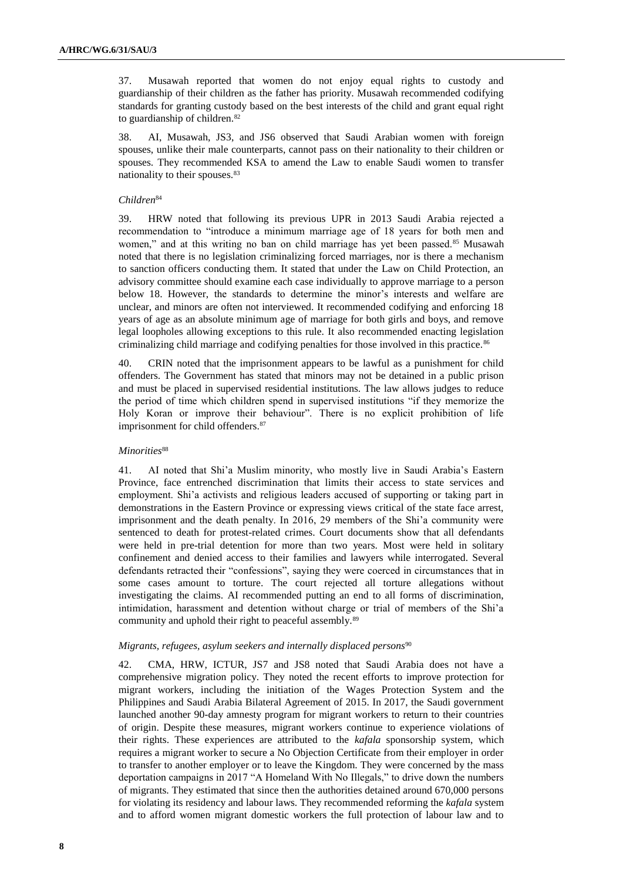37. Musawah reported that women do not enjoy equal rights to custody and guardianship of their children as the father has priority. Musawah recommended codifying standards for granting custody based on the best interests of the child and grant equal right to guardianship of children.<sup>82</sup>

38. AI, Musawah, JS3, and JS6 observed that Saudi Arabian women with foreign spouses, unlike their male counterparts, cannot pass on their nationality to their children or spouses. They recommended KSA to amend the Law to enable Saudi women to transfer nationality to their spouses.<sup>83</sup>

#### *Children*<sup>84</sup>

39. HRW noted that following its previous UPR in 2013 Saudi Arabia rejected a recommendation to "introduce a minimum marriage age of 18 years for both men and women," and at this writing no ban on child marriage has yet been passed.<sup>85</sup> Musawah noted that there is no legislation criminalizing forced marriages, nor is there a mechanism to sanction officers conducting them. It stated that under the Law on Child Protection, an advisory committee should examine each case individually to approve marriage to a person below 18. However, the standards to determine the minor's interests and welfare are unclear, and minors are often not interviewed. It recommended codifying and enforcing 18 years of age as an absolute minimum age of marriage for both girls and boys, and remove legal loopholes allowing exceptions to this rule. It also recommended enacting legislation criminalizing child marriage and codifying penalties for those involved in this practice.<sup>86</sup>

40. CRIN noted that the imprisonment appears to be lawful as a punishment for child offenders. The Government has stated that minors may not be detained in a public prison and must be placed in supervised residential institutions. The law allows judges to reduce the period of time which children spend in supervised institutions "if they memorize the Holy Koran or improve their behaviour". There is no explicit prohibition of life imprisonment for child offenders.<sup>87</sup>

#### *Minorities*<sup>88</sup>

41. AI noted that Shi'a Muslim minority, who mostly live in Saudi Arabia's Eastern Province, face entrenched discrimination that limits their access to state services and employment. Shi'a activists and religious leaders accused of supporting or taking part in demonstrations in the Eastern Province or expressing views critical of the state face arrest, imprisonment and the death penalty. In 2016, 29 members of the Shi'a community were sentenced to death for protest-related crimes. Court documents show that all defendants were held in pre-trial detention for more than two years. Most were held in solitary confinement and denied access to their families and lawyers while interrogated. Several defendants retracted their "confessions", saying they were coerced in circumstances that in some cases amount to torture. The court rejected all torture allegations without investigating the claims. AI recommended putting an end to all forms of discrimination, intimidation, harassment and detention without charge or trial of members of the Shi'a community and uphold their right to peaceful assembly.<sup>89</sup>

#### *Migrants, refugees, asylum seekers and internally displaced persons*<sup>90</sup>

42. CMA, HRW, ICTUR, JS7 and JS8 noted that Saudi Arabia does not have a comprehensive migration policy. They noted the recent efforts to improve protection for migrant workers, including the initiation of the Wages Protection System and the Philippines and Saudi Arabia Bilateral Agreement of 2015. In 2017, the Saudi government launched another 90-day amnesty program for migrant workers to return to their countries of origin. Despite these measures, migrant workers continue to experience violations of their rights. These experiences are attributed to the *kafala* sponsorship system, which requires a migrant worker to secure a No Objection Certificate from their employer in order to transfer to another employer or to leave the Kingdom. They were concerned by the mass deportation campaigns in 2017 "A Homeland With No Illegals," to drive down the numbers of migrants. They estimated that since then the authorities detained around 670,000 persons for violating its residency and labour laws. They recommended reforming the *kafala* system and to afford women migrant domestic workers the full protection of labour law and to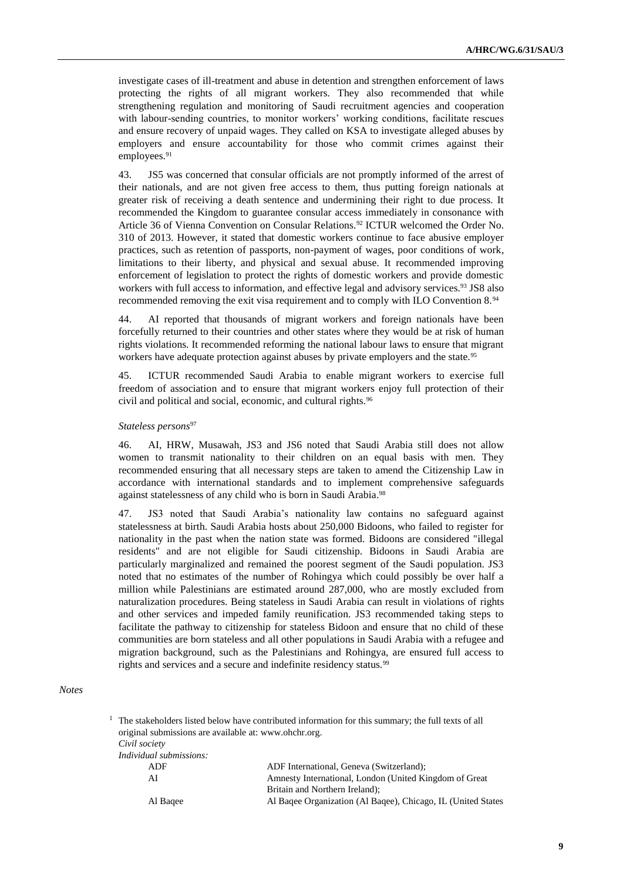investigate cases of ill-treatment and abuse in detention and strengthen enforcement of laws protecting the rights of all migrant workers. They also recommended that while strengthening regulation and monitoring of Saudi recruitment agencies and cooperation with labour-sending countries, to monitor workers' working conditions, facilitate rescues and ensure recovery of unpaid wages. They called on KSA to investigate alleged abuses by employers and ensure accountability for those who commit crimes against their employees.<sup>91</sup>

43. JS5 was concerned that consular officials are not promptly informed of the arrest of their nationals, and are not given free access to them, thus putting foreign nationals at greater risk of receiving a death sentence and undermining their right to due process. It recommended the Kingdom to guarantee consular access immediately in consonance with Article 36 of Vienna Convention on Consular Relations.<sup>92</sup> ICTUR welcomed the Order No. 310 of 2013. However, it stated that domestic workers continue to face abusive employer practices, such as retention of passports, non-payment of wages, poor conditions of work, limitations to their liberty, and physical and sexual abuse. It recommended improving enforcement of legislation to protect the rights of domestic workers and provide domestic workers with full access to information, and effective legal and advisory services.<sup>93</sup> JS8 also recommended removing the exit visa requirement and to comply with ILO Convention 8.<sup>94</sup>

44. AI reported that thousands of migrant workers and foreign nationals have been forcefully returned to their countries and other states where they would be at risk of human rights violations. It recommended reforming the national labour laws to ensure that migrant workers have adequate protection against abuses by private employers and the state.<sup>95</sup>

45. ICTUR recommended Saudi Arabia to enable migrant workers to exercise full freedom of association and to ensure that migrant workers enjoy full protection of their civil and political and social, economic, and cultural rights.<sup>96</sup>

#### *Stateless persons*<sup>97</sup>

46. AI, HRW, Musawah, JS3 and JS6 noted that Saudi Arabia still does not allow women to transmit nationality to their children on an equal basis with men. They recommended ensuring that all necessary steps are taken to amend the Citizenship Law in accordance with international standards and to implement comprehensive safeguards against statelessness of any child who is born in Saudi Arabia. 98

47. JS3 noted that Saudi Arabia's nationality law contains no safeguard against statelessness at birth. Saudi Arabia hosts about 250,000 Bidoons, who failed to register for nationality in the past when the nation state was formed. Bidoons are considered "illegal residents" and are not eligible for Saudi citizenship. Bidoons in Saudi Arabia are particularly marginalized and remained the poorest segment of the Saudi population. JS3 noted that no estimates of the number of Rohingya which could possibly be over half a million while Palestinians are estimated around 287,000, who are mostly excluded from naturalization procedures. Being stateless in Saudi Arabia can result in violations of rights and other services and impeded family reunification. JS3 recommended taking steps to facilitate the pathway to citizenship for stateless Bidoon and ensure that no child of these communities are born stateless and all other populations in Saudi Arabia with a refugee and migration background, such as the Palestinians and Rohingya, are ensured full access to rights and services and a secure and indefinite residency status.<sup>99</sup>

#### *Notes*

|                                                       | The stakeholders itsted below have contributed information for this summary, the full texts of all |
|-------------------------------------------------------|----------------------------------------------------------------------------------------------------|
| original submissions are available at: www.ohchr.org. |                                                                                                    |
| Civil society                                         |                                                                                                    |
| <i>Individual submissions:</i>                        |                                                                                                    |
| ADF                                                   | ADF International, Geneva (Switzerland);                                                           |
| AI                                                    | Amnesty International, London (United Kingdom of Great)                                            |
|                                                       | Britain and Northern Ireland);                                                                     |
| Al Bagee                                              | Al Bagee Organization (Al Bagee), Chicago, IL (United States                                       |

<sup>1</sup> The stakeholders listed below have contributed information for this summary; the full texts of all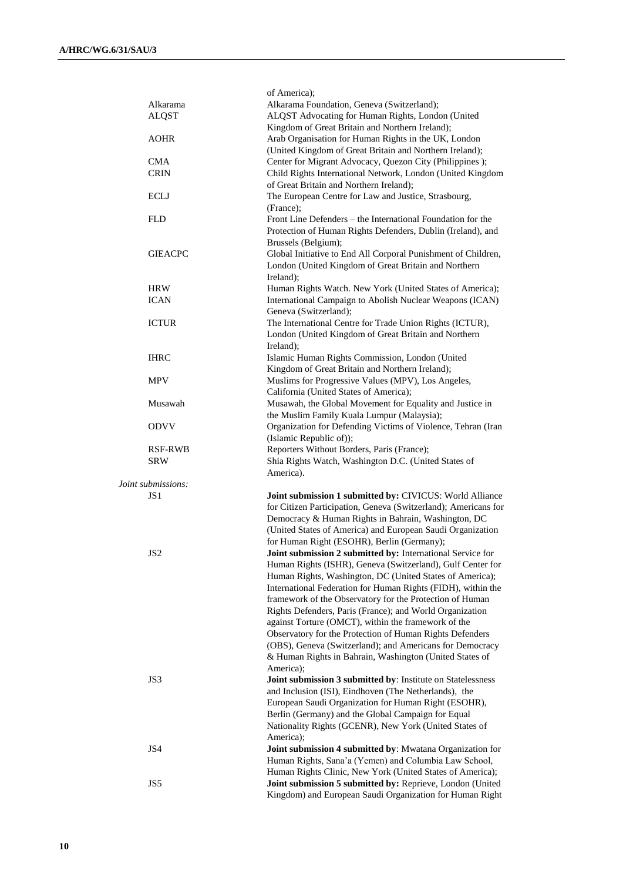|                    | of America);                                                                                               |  |
|--------------------|------------------------------------------------------------------------------------------------------------|--|
| Alkarama           | Alkarama Foundation, Geneva (Switzerland);                                                                 |  |
| <b>ALQST</b>       | ALQST Advocating for Human Rights, London (United                                                          |  |
|                    | Kingdom of Great Britain and Northern Ireland);                                                            |  |
| <b>AOHR</b>        | Arab Organisation for Human Rights in the UK, London                                                       |  |
|                    | (United Kingdom of Great Britain and Northern Ireland);                                                    |  |
| <b>CMA</b>         | Center for Migrant Advocacy, Quezon City (Philippines);                                                    |  |
| <b>CRIN</b>        | Child Rights International Network, London (United Kingdom                                                 |  |
|                    | of Great Britain and Northern Ireland);                                                                    |  |
| <b>ECLJ</b>        | The European Centre for Law and Justice, Strasbourg,                                                       |  |
|                    | (France);                                                                                                  |  |
| <b>FLD</b>         | Front Line Defenders – the International Foundation for the                                                |  |
|                    | Protection of Human Rights Defenders, Dublin (Ireland), and                                                |  |
|                    | Brussels (Belgium);                                                                                        |  |
| <b>GIEACPC</b>     | Global Initiative to End All Corporal Punishment of Children,                                              |  |
|                    | London (United Kingdom of Great Britain and Northern                                                       |  |
|                    | Ireland);                                                                                                  |  |
| <b>HRW</b>         | Human Rights Watch. New York (United States of America);                                                   |  |
| <b>ICAN</b>        | International Campaign to Abolish Nuclear Weapons (ICAN)                                                   |  |
|                    | Geneva (Switzerland);                                                                                      |  |
| <b>ICTUR</b>       | The International Centre for Trade Union Rights (ICTUR),                                                   |  |
|                    | London (United Kingdom of Great Britain and Northern                                                       |  |
|                    | Ireland);                                                                                                  |  |
| <b>IHRC</b>        | Islamic Human Rights Commission, London (United                                                            |  |
|                    | Kingdom of Great Britain and Northern Ireland);                                                            |  |
| <b>MPV</b>         | Muslims for Progressive Values (MPV), Los Angeles,                                                         |  |
|                    | California (United States of America);                                                                     |  |
| Musawah            | Musawah, the Global Movement for Equality and Justice in                                                   |  |
| <b>ODVV</b>        | the Muslim Family Kuala Lumpur (Malaysia);<br>Organization for Defending Victims of Violence, Tehran (Iran |  |
|                    | (Islamic Republic of));                                                                                    |  |
| <b>RSF-RWB</b>     | Reporters Without Borders, Paris (France);                                                                 |  |
| <b>SRW</b>         | Shia Rights Watch, Washington D.C. (United States of                                                       |  |
|                    | America).                                                                                                  |  |
| Joint submissions: |                                                                                                            |  |
| JS 1               | Joint submission 1 submitted by: CIVICUS: World Alliance                                                   |  |
|                    | for Citizen Participation, Geneva (Switzerland); Americans for                                             |  |
|                    | Democracy & Human Rights in Bahrain, Washington, DC                                                        |  |
|                    | (United States of America) and European Saudi Organization                                                 |  |
|                    | for Human Right (ESOHR), Berlin (Germany);                                                                 |  |
| JS <sub>2</sub>    | Joint submission 2 submitted by: International Service for                                                 |  |
|                    | Human Rights (ISHR), Geneva (Switzerland), Gulf Center for                                                 |  |
|                    | Human Rights, Washington, DC (United States of America);                                                   |  |
|                    | International Federation for Human Rights (FIDH), within the                                               |  |
|                    | framework of the Observatory for the Protection of Human                                                   |  |
|                    | Rights Defenders, Paris (France); and World Organization                                                   |  |
|                    | against Torture (OMCT), within the framework of the                                                        |  |
|                    | Observatory for the Protection of Human Rights Defenders                                                   |  |
|                    | (OBS), Geneva (Switzerland); and Americans for Democracy                                                   |  |
|                    | & Human Rights in Bahrain, Washington (United States of                                                    |  |
| JS3                | America);<br>Joint submission 3 submitted by: Institute on Statelessness                                   |  |
|                    | and Inclusion (ISI), Eindhoven (The Netherlands), the                                                      |  |
|                    | European Saudi Organization for Human Right (ESOHR),                                                       |  |
|                    | Berlin (Germany) and the Global Campaign for Equal                                                         |  |
|                    | Nationality Rights (GCENR), New York (United States of                                                     |  |
|                    | America);                                                                                                  |  |
| JS4                | Joint submission 4 submitted by: Mwatana Organization for                                                  |  |
|                    | Human Rights, Sana'a (Yemen) and Columbia Law School,                                                      |  |
|                    | Human Rights Clinic, New York (United States of America);                                                  |  |
| JS5                | Joint submission 5 submitted by: Reprieve, London (United                                                  |  |
|                    | Kingdom) and European Saudi Organization for Human Right                                                   |  |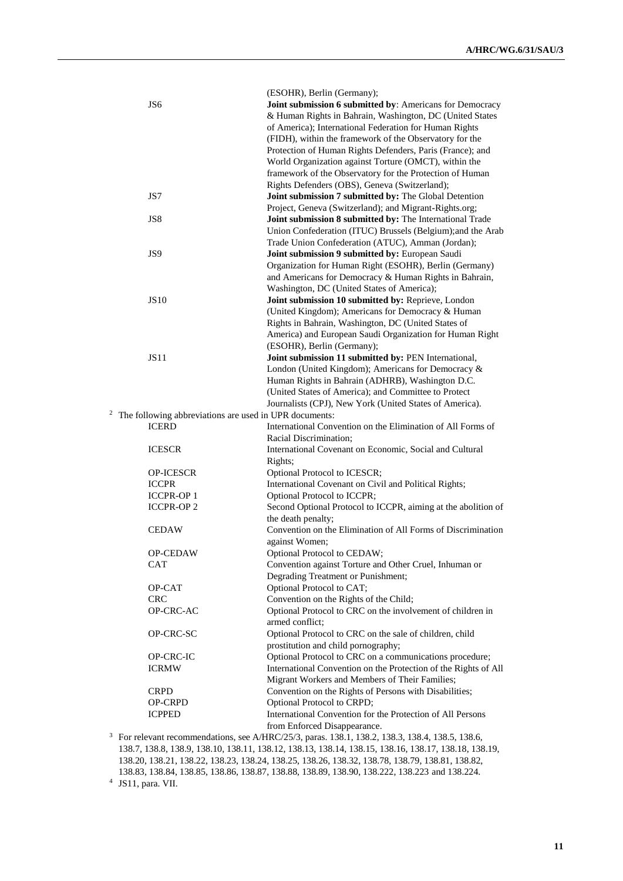|   |                                                        | (ESOHR), Berlin (Germany);                                                                           |
|---|--------------------------------------------------------|------------------------------------------------------------------------------------------------------|
|   | JS6                                                    | Joint submission 6 submitted by: Americans for Democracy                                             |
|   |                                                        | & Human Rights in Bahrain, Washington, DC (United States                                             |
|   |                                                        | of America); International Federation for Human Rights                                               |
|   |                                                        | (FIDH), within the framework of the Observatory for the                                              |
|   |                                                        | Protection of Human Rights Defenders, Paris (France); and                                            |
|   |                                                        | World Organization against Torture (OMCT), within the                                                |
|   |                                                        | framework of the Observatory for the Protection of Human                                             |
|   |                                                        | Rights Defenders (OBS), Geneva (Switzerland);                                                        |
|   | JS7                                                    |                                                                                                      |
|   |                                                        | Joint submission 7 submitted by: The Global Detention                                                |
|   |                                                        | Project, Geneva (Switzerland); and Migrant-Rights.org;                                               |
|   | JS8                                                    | Joint submission 8 submitted by: The International Trade                                             |
|   |                                                        | Union Confederation (ITUC) Brussels (Belgium);and the Arab                                           |
|   |                                                        | Trade Union Confederation (ATUC), Amman (Jordan);                                                    |
|   | JS9                                                    | Joint submission 9 submitted by: European Saudi                                                      |
|   |                                                        | Organization for Human Right (ESOHR), Berlin (Germany)                                               |
|   |                                                        | and Americans for Democracy & Human Rights in Bahrain,                                               |
|   |                                                        | Washington, DC (United States of America);                                                           |
|   | <b>JS10</b>                                            | Joint submission 10 submitted by: Reprieve, London                                                   |
|   |                                                        | (United Kingdom); Americans for Democracy & Human                                                    |
|   |                                                        | Rights in Bahrain, Washington, DC (United States of                                                  |
|   |                                                        | America) and European Saudi Organization for Human Right                                             |
|   |                                                        | (ESOHR), Berlin (Germany);                                                                           |
|   | JS11                                                   | Joint submission 11 submitted by: PEN International,                                                 |
|   |                                                        | London (United Kingdom); Americans for Democracy &                                                   |
|   |                                                        | Human Rights in Bahrain (ADHRB), Washington D.C.                                                     |
|   |                                                        | (United States of America); and Committee to Protect                                                 |
|   |                                                        | Journalists (CPJ), New York (United States of America).                                              |
| 2 | The following abbreviations are used in UPR documents: |                                                                                                      |
|   | <b>ICERD</b>                                           | International Convention on the Elimination of All Forms of                                          |
|   |                                                        |                                                                                                      |
|   | <b>ICESCR</b>                                          | Racial Discrimination;<br>International Covenant on Economic, Social and Cultural                    |
|   |                                                        |                                                                                                      |
|   |                                                        | Rights;                                                                                              |
|   | OP-ICESCR                                              | Optional Protocol to ICESCR;                                                                         |
|   | <b>ICCPR</b>                                           | International Covenant on Civil and Political Rights;                                                |
|   | <b>ICCPR-OP1</b>                                       | Optional Protocol to ICCPR;                                                                          |
|   | <b>ICCPR-OP2</b>                                       | Second Optional Protocol to ICCPR, aiming at the abolition of                                        |
|   |                                                        | the death penalty;                                                                                   |
|   | <b>CEDAW</b>                                           | Convention on the Elimination of All Forms of Discrimination                                         |
|   |                                                        | against Women;                                                                                       |
|   | OP-CEDAW                                               | Optional Protocol to CEDAW;                                                                          |
|   | CAT                                                    | Convention against Torture and Other Cruel, Inhuman or                                               |
|   |                                                        | Degrading Treatment or Punishment;                                                                   |
|   | OP-CAT                                                 | Optional Protocol to CAT;                                                                            |
|   | <b>CRC</b>                                             | Convention on the Rights of the Child;                                                               |
|   | OP-CRC-AC                                              | Optional Protocol to CRC on the involvement of children in                                           |
|   |                                                        | armed conflict;                                                                                      |
|   | OP-CRC-SC                                              | Optional Protocol to CRC on the sale of children, child                                              |
|   |                                                        | prostitution and child pornography;                                                                  |
|   | OP-CRC-IC                                              | Optional Protocol to CRC on a communications procedure;                                              |
|   | <b>ICRMW</b>                                           | International Convention on the Protection of the Rights of All                                      |
|   |                                                        | Migrant Workers and Members of Their Families;                                                       |
|   | <b>CRPD</b>                                            | Convention on the Rights of Persons with Disabilities;                                               |
|   | OP-CRPD                                                | Optional Protocol to CRPD;                                                                           |
|   |                                                        | International Convention for the Protection of All Persons                                           |
|   | <b>ICPPED</b>                                          |                                                                                                      |
|   |                                                        | from Enforced Disappearance.                                                                         |
|   |                                                        | For relevant recommendations, see A/HRC/25/3, paras. 138.1, 138.2, 138.3, 138.4, 138.5, 138.6,       |
|   |                                                        | 138.7, 138.8, 138.9, 138.10, 138.11, 138.12, 138.13, 138.14, 138.15, 138.16, 138.17, 138.18, 138.19, |

<sup>138.20, 138.21, 138.22, 138.23, 138.24, 138.25, 138.26, 138.32, 138.78, 138.79, 138.81, 138.82,</sup> 

<sup>138.83, 138.84, 138.85, 138.86, 138.87, 138.88, 138.89, 138.90, 138.222, 138.223</sup> and 138.224.

<sup>4</sup> JS11, para. VII.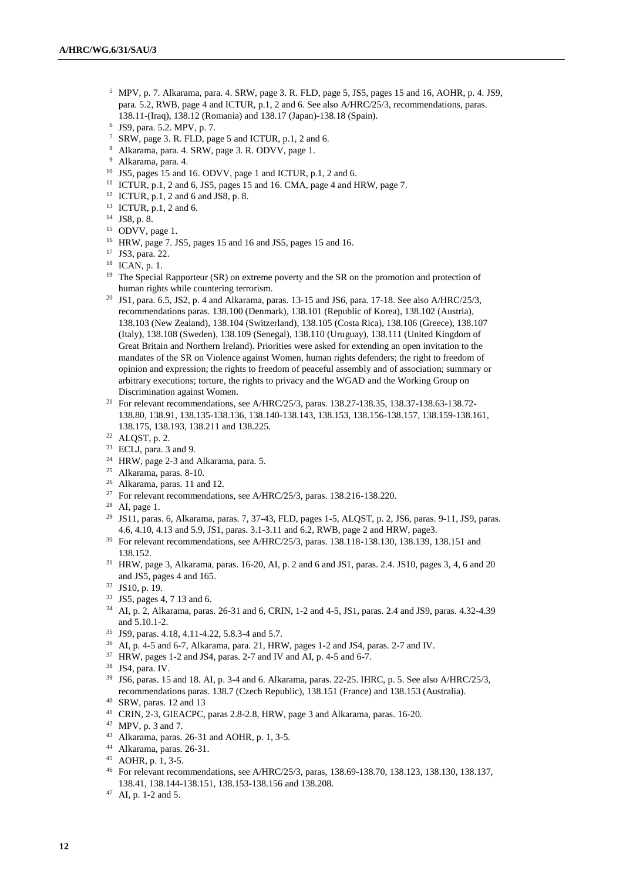- <sup>5</sup> MPV, p. 7. Alkarama, para. 4. SRW, page 3. R. FLD, page 5, JS5, pages 15 and 16, AOHR, p. 4. JS9, para. 5.2, RWB, page 4 and ICTUR, p.1, 2 and 6. See also A/HRC/25/3, recommendations, paras. 138.11-(Iraq), 138.12 (Romania) and 138.17 (Japan)-138.18 (Spain).
- 6 JS9, para. 5.2. MPV, p. 7.
- <sup>7</sup> SRW, page 3. R. FLD, page 5 and ICTUR, p.1, 2 and 6.
- <sup>8</sup> Alkarama, para. 4. SRW, page 3. R. ODVV, page 1.
- <sup>9</sup> Alkarama, para. 4.
- <sup>10</sup> JS5, pages 15 and 16. ODVV, page 1 and ICTUR, p.1, 2 and 6.
- <sup>11</sup> ICTUR, p.1, 2 and 6, JS5, pages 15 and 16. CMA, page 4 and HRW, page 7.
- <sup>12</sup> ICTUR, p.1, 2 and 6 and JS8, p. 8.
- <sup>13</sup> ICTUR, p.1, 2 and 6.
- <sup>14</sup> JS8, p. 8.
- $15$  ODVV, page 1.
- <sup>16</sup> HRW, page 7. JS5, pages 15 and 16 and JS5, pages 15 and 16.
- <sup>17</sup> JS3, para. 22.
- <sup>18</sup> ICAN, p. 1.
- <sup>19</sup> The Special Rapporteur (SR) on extreme poverty and the SR on the promotion and protection of human rights while countering terrorism.
- <sup>20</sup> JS1, para. 6.5, JS2, p. 4 and Alkarama, paras. 13-15 and JS6, para. 17-18. See also A/HRC/25/3, recommendations paras. 138.100 (Denmark), 138.101 (Republic of Korea), 138.102 (Austria), 138.103 (New Zealand), 138.104 (Switzerland), 138.105 (Costa Rica), 138.106 (Greece), 138.107 (Italy), 138.108 (Sweden), 138.109 (Senegal), 138.110 (Uruguay), 138.111 (United Kingdom of Great Britain and Northern Ireland). Priorities were asked for extending an open invitation to the mandates of the SR on Violence against Women, human rights defenders; the right to freedom of opinion and expression; the rights to freedom of peaceful assembly and of association; summary or arbitrary executions; torture, the rights to privacy and the WGAD and the Working Group on Discrimination against Women.
- <sup>21</sup> For relevant recommendations, see A/HRC/25/3, paras. 138.27-138.35, 138.37-138.63-138.72-138.80, 138.91, 138.135-138.136, 138.140-138.143, 138.153, 138.156-138.157, 138.159-138.161, 138.175, 138.193, 138.211 and 138.225.
- <sup>22</sup> ALQST, p. 2.
- $23$  ECLJ, para. 3 and 9.
- <sup>24</sup> HRW, page 2-3 and Alkarama, para. 5.
- <sup>25</sup> Alkarama, paras. 8-10.
- <sup>26</sup> Alkarama, paras. 11 and 12.
- <sup>27</sup> For relevant recommendations, see A/HRC/25/3, paras. 138.216-138.220.
- <sup>28</sup> AI, page 1.
- <sup>29</sup> JS11, paras. 6, Alkarama, paras. 7, 37-43, FLD, pages 1-5, ALQST, p. 2, JS6, paras. 9-11, JS9, paras. 4.6, 4.10, 4.13 and 5.9, JS1, paras. 3.1-3.11 and 6.2, RWB, page 2 and HRW, page3.
- <sup>30</sup> For relevant recommendations, see A/HRC/25/3, paras. 138.118-138.130, 138.139, 138.151 and 138.152.
- <sup>31</sup> HRW, page 3, Alkarama, paras. 16-20, AI, p. 2 and 6 and JS1, paras. 2.4. JS10, pages 3, 4, 6 and 20 and JS5, pages 4 and 165.
- <sup>32</sup> JS10, p. 19.
- <sup>33</sup> JS5, pages 4, 7 13 and 6.
- <sup>34</sup> AI, p. 2, Alkarama, paras. 26-31 and 6, CRIN, 1-2 and 4-5, JS1, paras. 2.4 and JS9, paras. 4.32-4.39 and 5.10.1-2.
- <sup>35</sup> JS9, paras. 4.18, 4.11-4.22, 5.8.3-4 and 5.7.
- <sup>36</sup> AI, p. 4-5 and 6-7, Alkarama, para. 21, HRW, pages 1-2 and JS4, paras. 2-7 and IV.
- <sup>37</sup> HRW, pages 1-2 and JS4, paras. 2-7 and IV and AI, p. 4-5 and 6-7.
- <sup>38</sup> JS4, para. IV.
- <sup>39</sup> JS6, paras. 15 and 18. AI, p. 3-4 and 6. Alkarama, paras. 22-25. IHRC, p. 5. See also A/HRC/25/3, recommendations paras. 138.7 (Czech Republic), 138.151 (France) and 138.153 (Australia).
- <sup>40</sup> SRW, paras. 12 and 13
- <sup>41</sup> CRIN, 2-3, GIEACPC, paras 2.8-2.8, HRW, page 3 and Alkarama, paras. 16-20.
- $42$  MPV, p. 3 and 7.
- <sup>43</sup> Alkarama, paras. 26-31 and AOHR, p. 1, 3-5.
- <sup>44</sup> Alkarama, paras. 26-31.
- <sup>45</sup> AOHR, p. 1, 3-5.
- <sup>46</sup> For relevant recommendations, see A/HRC/25/3, paras, 138.69-138.70, 138.123, 138.130, 138.137, 138.41, 138.144-138.151, 138.153-138.156 and 138.208.
- <sup>47</sup> AI, p. 1-2 and 5.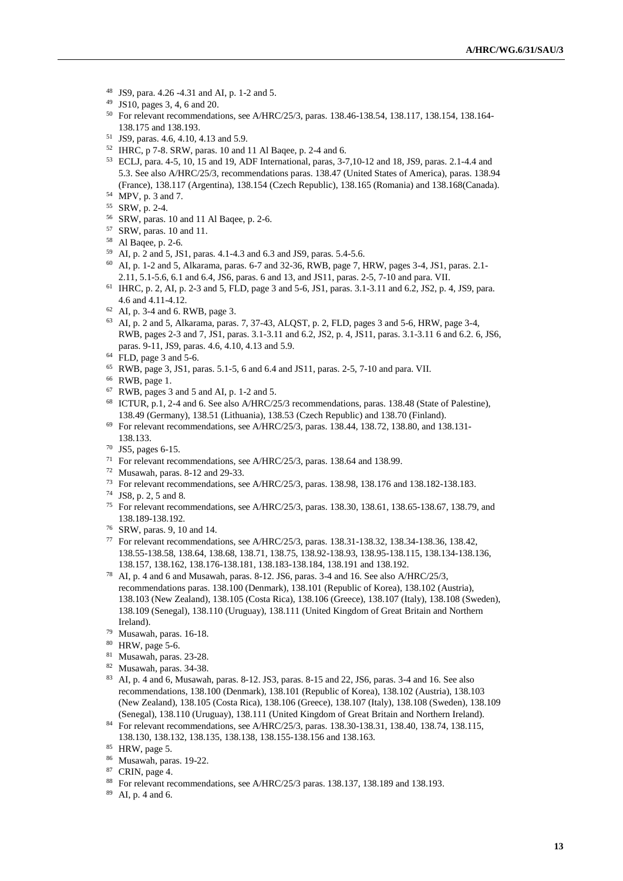- JS9, para. 4.26 -4.31 and AI, p. 1-2 and 5.
- JS10, pages 3, 4, 6 and 20.
- For relevant recommendations, see A/HRC/25/3, paras. 138.46-138.54, 138.117, 138.154, 138.164- 138.175 and 138.193.
- JS9, paras. 4.6, 4.10, 4.13 and 5.9.
- IHRC, p 7-8. SRW, paras. 10 and 11 Al Baqee, p. 2-4 and 6.
- ECLJ, para. 4-5, 10, 15 and 19, ADF International, paras, 3-7,10-12 and 18, JS9, paras. 2.1-4.4 and 5.3. See also A/HRC/25/3, recommendations paras. 138.47 (United States of America), paras. 138.94 (France), 138.117 (Argentina), 138.154 (Czech Republic), 138.165 (Romania) and 138.168(Canada).
- MPV, p. 3 and 7.
- SRW, p. 2-4.
- SRW, paras. 10 and 11 Al Baqee, p. 2-6.
- SRW, paras. 10 and 11.
- Al Baqee, p. 2-6.
- AI, p. 2 and 5, JS1, paras. 4.1-4.3 and 6.3 and JS9, paras. 5.4-5.6. AI, p. 1-2 and 5, Alkarama, paras. 6-7 and 32-36, RWB, page 7, HRW, pages 3-4, JS1, paras. 2.1- 2.11, 5.1-5.6, 6.1 and 6.4, JS6, paras. 6 and 13, and JS11, paras. 2-5, 7-10 and para. VII.
- IHRC, p. 2, AI, p. 2-3 and 5, FLD, page 3 and 5-6, JS1, paras. 3.1-3.11 and 6.2, JS2, p. 4, JS9, para. 4.6 and 4.11-4.12.
- AI, p. 3-4 and 6. RWB, page 3.
- AI, p. 2 and 5, Alkarama, paras. 7, 37-43, ALQST, p. 2, FLD, pages 3 and 5-6, HRW, page 3-4, RWB, pages 2-3 and 7, JS1, paras. 3.1-3.11 and 6.2, JS2, p. 4, JS11, paras. 3.1-3.11 6 and 6.2. 6, JS6, paras. 9-11, JS9, paras. 4.6, 4.10, 4.13 and 5.9.
- FLD, page 3 and 5-6.
- RWB, page 3, JS1, paras. 5.1-5, 6 and 6.4 and JS11, paras. 2-5, 7-10 and para. VII.
- RWB, page 1.
- RWB, pages 3 and 5 and AI, p. 1-2 and 5.
- ICTUR, p.1, 2-4 and 6. See also A/HRC/25/3 recommendations, paras. 138.48 (State of Palestine), 138.49 (Germany), 138.51 (Lithuania), 138.53 (Czech Republic) and 138.70 (Finland).
- For relevant recommendations, see A/HRC/25/3, paras. 138.44, 138.72, 138.80, and 138.131- 138.133.
- JS5, pages 6-15.
- For relevant recommendations, see A/HRC/25/3, paras. 138.64 and 138.99.
- Musawah, paras. 8-12 and 29-33.
- For relevant recommendations, see A/HRC/25/3, paras. 138.98, 138.176 and 138.182-138.183.
- JS8, p. 2, 5 and 8.
- For relevant recommendations, see A/HRC/25/3, paras. 138.30, 138.61, 138.65-138.67, 138.79, and 138.189-138.192.
- SRW, paras. 9, 10 and 14.
- For relevant recommendations, see A/HRC/25/3, paras. 138.31-138.32, 138.34-138.36, 138.42, 138.55-138.58, 138.64, 138.68, 138.71, 138.75, 138.92-138.93, 138.95-138.115, 138.134-138.136, 138.157, 138.162, 138.176-138.181, 138.183-138.184, 138.191 and 138.192.
- AI, p. 4 and 6 and Musawah, paras. 8-12. JS6, paras. 3-4 and 16. See also A/HRC/25/3, recommendations paras. 138.100 (Denmark), 138.101 (Republic of Korea), 138.102 (Austria), 138.103 (New Zealand), 138.105 (Costa Rica), 138.106 (Greece), 138.107 (Italy), 138.108 (Sweden), 138.109 (Senegal), 138.110 (Uruguay), 138.111 (United Kingdom of Great Britain and Northern Ireland).
- Musawah, paras. 16-18.
- HRW, page 5-6.
- Musawah, paras. 23-28.
- Musawah, paras. 34-38.
- AI, p. 4 and 6, Musawah, paras. 8-12. JS3, paras. 8-15 and 22, JS6, paras. 3-4 and 16. See also recommendations, 138.100 (Denmark), 138.101 (Republic of Korea), 138.102 (Austria), 138.103 (New Zealand), 138.105 (Costa Rica), 138.106 (Greece), 138.107 (Italy), 138.108 (Sweden), 138.109 (Senegal), 138.110 (Uruguay), 138.111 (United Kingdom of Great Britain and Northern Ireland).
- For relevant recommendations, see A/HRC/25/3, paras. 138.30-138.31, 138.40, 138.74, 138.115, 138.130, 138.132, 138.135, 138.138, 138.155-138.156 and 138.163.
- HRW, page 5.
- Musawah, paras. 19-22.
- CRIN, page 4.
- For relevant recommendations, see A/HRC/25/3 paras. 138.137, 138.189 and 138.193.
- AI, p. 4 and 6.